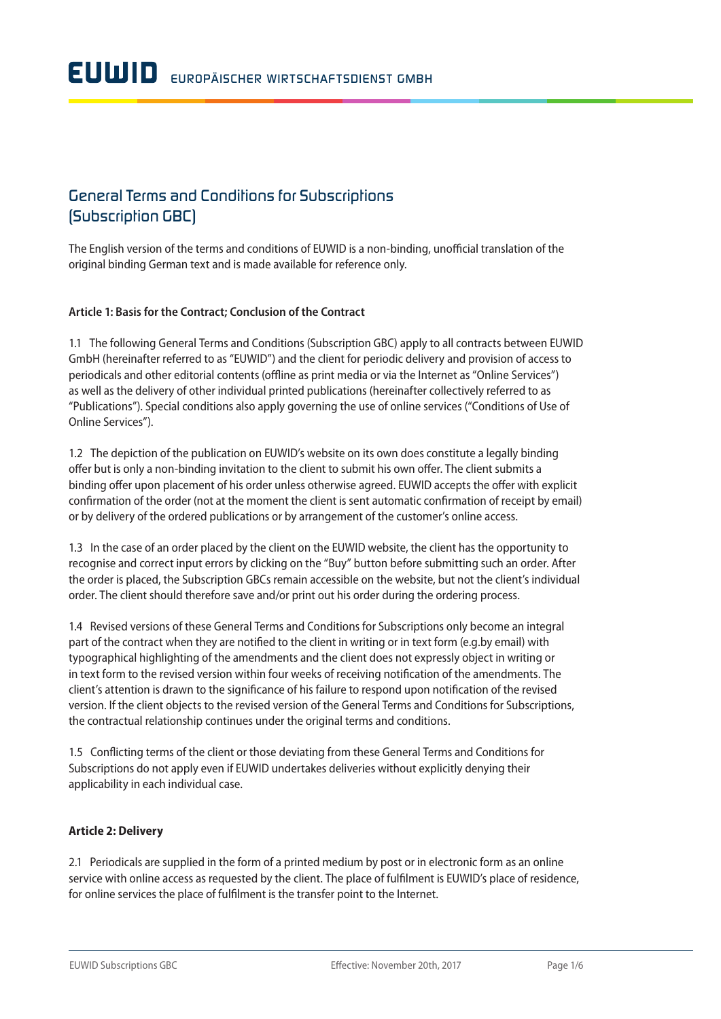# *General Terms and Conditions for Subscriptions (Subscription GBC)*

The English version of the terms and conditions of EUWID is a non-binding, unofficial translation of the original binding German text and is made available for reference only.

## **Article 1: Basis for the Contract; Conclusion of the Contract**

1.1 The following General Terms and Conditions (Subscription GBC) apply to all contracts between EUWID GmbH (hereinafter referred to as "EUWID") and the client for periodic delivery and provision of access to periodicals and other editorial contents (offline as print media or via the Internet as "Online Services") as well as the delivery of other individual printed publications (hereinafter collectively referred to as "Publications"). Special conditions also apply governing the use of online services ("Conditions of Use of Online Services").

1.2 The depiction of the publication on EUWID's website on its own does constitute a legally binding offer but is only a non-binding invitation to the client to submit his own offer. The client submits a binding offer upon placement of his order unless otherwise agreed. EUWID accepts the offer with explicit confirmation of the order (not at the moment the client is sent automatic confirmation of receipt by email) or by delivery of the ordered publications or by arrangement of the customer's online access.

1.3 In the case of an order placed by the client on the EUWID website, the client has the opportunity to recognise and correct input errors by clicking on the "Buy" button before submitting such an order. After the order is placed, the Subscription GBCs remain accessible on the website, but not the client's individual order. The client should therefore save and/or print out his order during the ordering process.

1.4 Revised versions of these General Terms and Conditions for Subscriptions only become an integral part of the contract when they are notified to the client in writing or in text form (e.g.by email) with typographical highlighting of the amendments and the client does not expressly object in writing or in text form to the revised version within four weeks of receiving notification of the amendments. The client's attention is drawn to the significance of his failure to respond upon notification of the revised version. If the client objects to the revised version of the General Terms and Conditions for Subscriptions, the contractual relationship continues under the original terms and conditions.

1.5 Conflicting terms of the client or those deviating from these General Terms and Conditions for Subscriptions do not apply even if EUWID undertakes deliveries without explicitly denying their applicability in each individual case.

# **Article 2: Delivery**

2.1 Periodicals are supplied in the form of a printed medium by post or in electronic form as an online service with online access as requested by the client. The place of fulfilment is EUWID's place of residence, for online services the place of fulfilment is the transfer point to the Internet.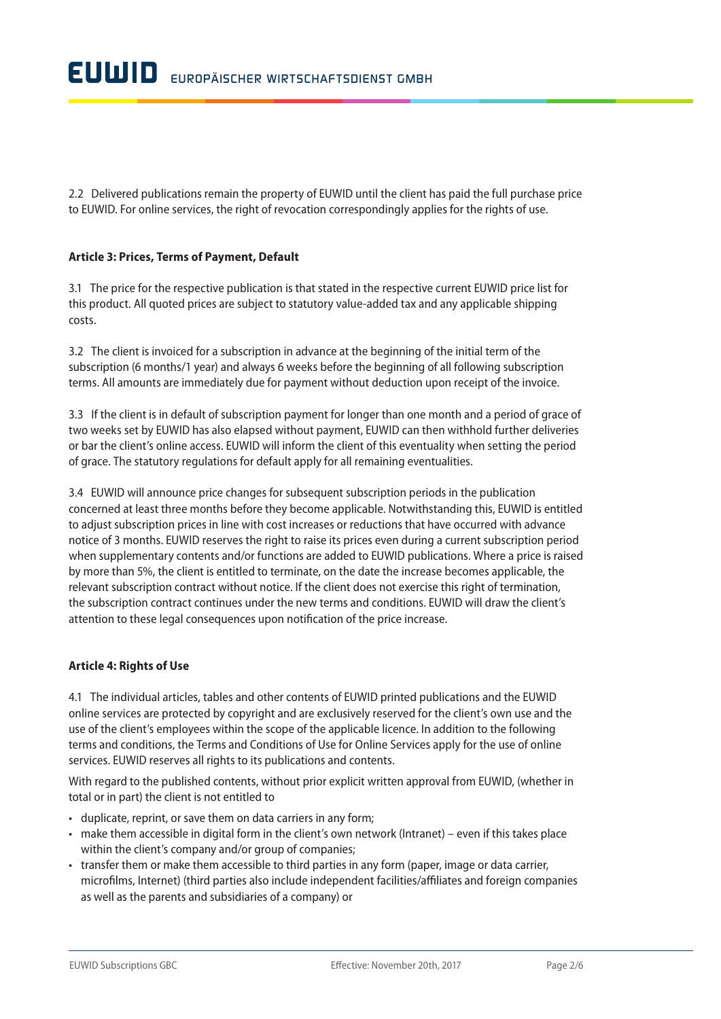2.2 Delivered publications remain the property of EUWID until the client has paid the full purchase price to EUWID. For online services, the right of revocation correspondingly applies for the rights of use.

#### **Article 3: Prices, Terms of Payment, Default**

3.1 The price for the respective publication is that stated in the respective current EUWID price list for this product. All quoted prices are subject to statutory value-added tax and any applicable shipping costs.

3.2 The client is invoiced for a subscription in advance at the beginning of the initial term of the subscription (6 months/1 year) and always 6 weeks before the beginning of all following subscription terms. All amounts are immediately due for payment without deduction upon receipt of the invoice.

3.3 If the client is in default of subscription payment for longer than one month and a period of grace of two weeks set by EUWID has also elapsed without payment, EUWID can then withhold further deliveries or bar the client's online access. EUWID will inform the client of this eventuality when setting the period of grace. The statutory regulations for default apply for all remaining eventualities.

3.4 EUWID will announce price changes for subsequent subscription periods in the publication concerned at least three months before they become applicable. Notwithstanding this, EUWID is entitled to adjust subscription prices in line with cost increases or reductions that have occurred with advance notice of 3 months. EUWID reserves the right to raise its prices even during a current subscription period when supplementary contents and/or functions are added to EUWID publications. Where a price is raised by more than 5%, the client is entitled to terminate, on the date the increase becomes applicable, the relevant subscription contract without notice. If the client does not exercise this right of termination, the subscription contract continues under the new terms and conditions. EUWID will draw the client's attention to these legal consequences upon notification of the price increase.

#### **Article 4: Rights of Use**

4.1 The individual articles, tables and other contents of EUWID printed publications and the EUWID online services are protected by copyright and are exclusively reserved for the client's own use and the use of the client's employees within the scope of the applicable licence. In addition to the following terms and conditions, the Terms and Conditions of Use for Online Services apply for the use of online services. EUWID reserves all rights to its publications and contents.

With regard to the published contents, without prior explicit written approval from EUWID, (whether in total or in part) the client is not entitled to

- duplicate, reprint, or save them on data carriers in any form;
- make them accessible in digital form in the client's own network (Intranet) even if this takes place within the client's company and/or group of companies;
- transfer them or make them accessible to third parties in any form (paper, image or data carrier, microfilms, Internet) (third parties also include independent facilities/affiliates and foreign companies as well as the parents and subsidiaries of a company) or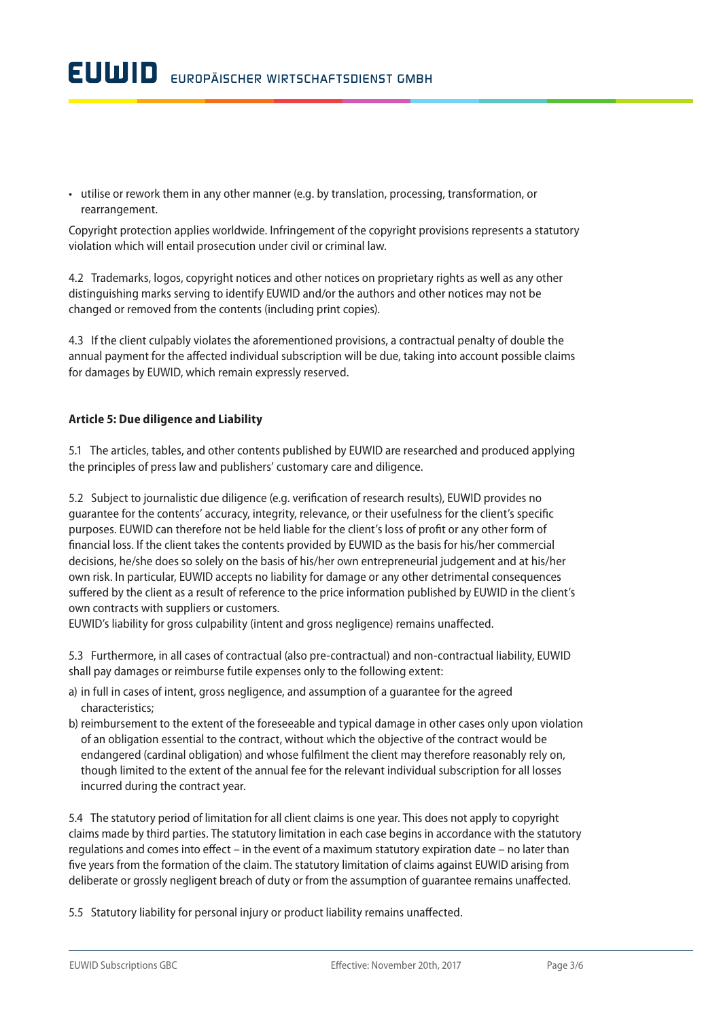• utilise or rework them in any other manner (e.g. by translation, processing, transformation, or rearrangement.

Copyright protection applies worldwide. Infringement of the copyright provisions represents a statutory violation which will entail prosecution under civil or criminal law.

4.2 Trademarks, logos, copyright notices and other notices on proprietary rights as well as any other distinguishing marks serving to identify EUWID and/or the authors and other notices may not be changed or removed from the contents (including print copies).

4.3 If the client culpably violates the aforementioned provisions, a contractual penalty of double the annual payment for the affected individual subscription will be due, taking into account possible claims for damages by EUWID, which remain expressly reserved.

#### **Article 5: Due diligence and Liability**

5.1 The articles, tables, and other contents published by EUWID are researched and produced applying the principles of press law and publishers' customary care and diligence.

5.2 Subject to journalistic due diligence (e.g. verification of research results), EUWID provides no guarantee for the contents' accuracy, integrity, relevance, or their usefulness for the client's specific purposes. EUWID can therefore not be held liable for the client's loss of profit or any other form of financial loss. If the client takes the contents provided by EUWID as the basis for his/her commercial decisions, he/she does so solely on the basis of his/her own entrepreneurial judgement and at his/her own risk. In particular, EUWID accepts no liability for damage or any other detrimental consequences suffered by the client as a result of reference to the price information published by EUWID in the client's own contracts with suppliers or customers.

EUWID's liability for gross culpability (intent and gross negligence) remains unaffected.

5.3 Furthermore, in all cases of contractual (also pre-contractual) and non-contractual liability, EUWID shall pay damages or reimburse futile expenses only to the following extent:

- a) in full in cases of intent, gross negligence, and assumption of a guarantee for the agreed characteristics;
- b) reimbursement to the extent of the foreseeable and typical damage in other cases only upon violation of an obligation essential to the contract, without which the objective of the contract would be endangered (cardinal obligation) and whose fulfilment the client may therefore reasonably rely on, though limited to the extent of the annual fee for the relevant individual subscription for all losses incurred during the contract year.

5.4 The statutory period of limitation for all client claims is one year. This does not apply to copyright claims made by third parties. The statutory limitation in each case begins in accordance with the statutory regulations and comes into effect – in the event of a maximum statutory expiration date – no later than five years from the formation of the claim. The statutory limitation of claims against EUWID arising from deliberate or grossly negligent breach of duty or from the assumption of guarantee remains unaffected.

5.5 Statutory liability for personal injury or product liability remains unaffected.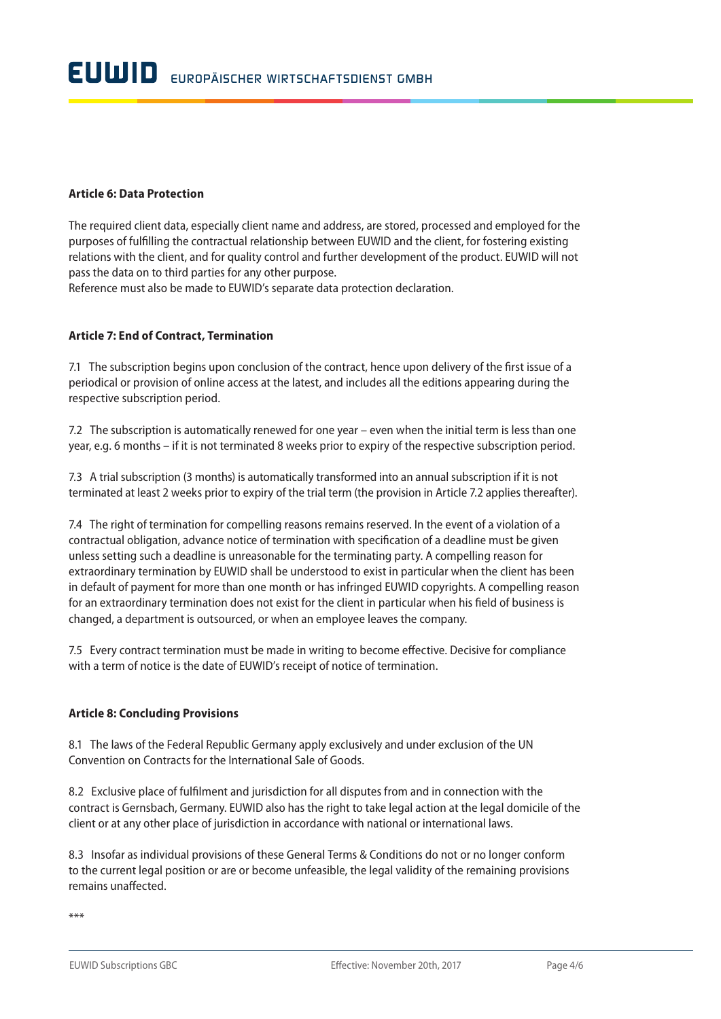#### **Article 6: Data Protection**

The required client data, especially client name and address, are stored, processed and employed for the purposes of fulfilling the contractual relationship between EUWID and the client, for fostering existing relations with the client, and for quality control and further development of the product. EUWID will not pass the data on to third parties for any other purpose.

Reference must also be made to EUWID's separate data protection declaration.

#### **Article 7: End of Contract, Termination**

7.1 The subscription begins upon conclusion of the contract, hence upon delivery of the first issue of a periodical or provision of online access at the latest, and includes all the editions appearing during the respective subscription period.

7.2 The subscription is automatically renewed for one year – even when the initial term is less than one year, e.g. 6 months – if it is not terminated 8 weeks prior to expiry of the respective subscription period.

7.3 A trial subscription (3 months) is automatically transformed into an annual subscription if it is not terminated at least 2 weeks prior to expiry of the trial term (the provision in Article 7.2 applies thereafter).

7.4 The right of termination for compelling reasons remains reserved. In the event of a violation of a contractual obligation, advance notice of termination with specification of a deadline must be given unless setting such a deadline is unreasonable for the terminating party. A compelling reason for extraordinary termination by EUWID shall be understood to exist in particular when the client has been in default of payment for more than one month or has infringed EUWID copyrights. A compelling reason for an extraordinary termination does not exist for the client in particular when his field of business is changed, a department is outsourced, or when an employee leaves the company.

7.5 Every contract termination must be made in writing to become effective. Decisive for compliance with a term of notice is the date of EUWID's receipt of notice of termination.

#### **Article 8: Concluding Provisions**

8.1 The laws of the Federal Republic Germany apply exclusively and under exclusion of the UN Convention on Contracts for the International Sale of Goods.

8.2 Exclusive place of fulfilment and jurisdiction for all disputes from and in connection with the contract is Gernsbach, Germany. EUWID also has the right to take legal action at the legal domicile of the client or at any other place of jurisdiction in accordance with national or international laws.

8.3 Insofar as individual provisions of these General Terms & Conditions do not or no longer conform to the current legal position or are or become unfeasible, the legal validity of the remaining provisions remains unaffected.

\*\*\*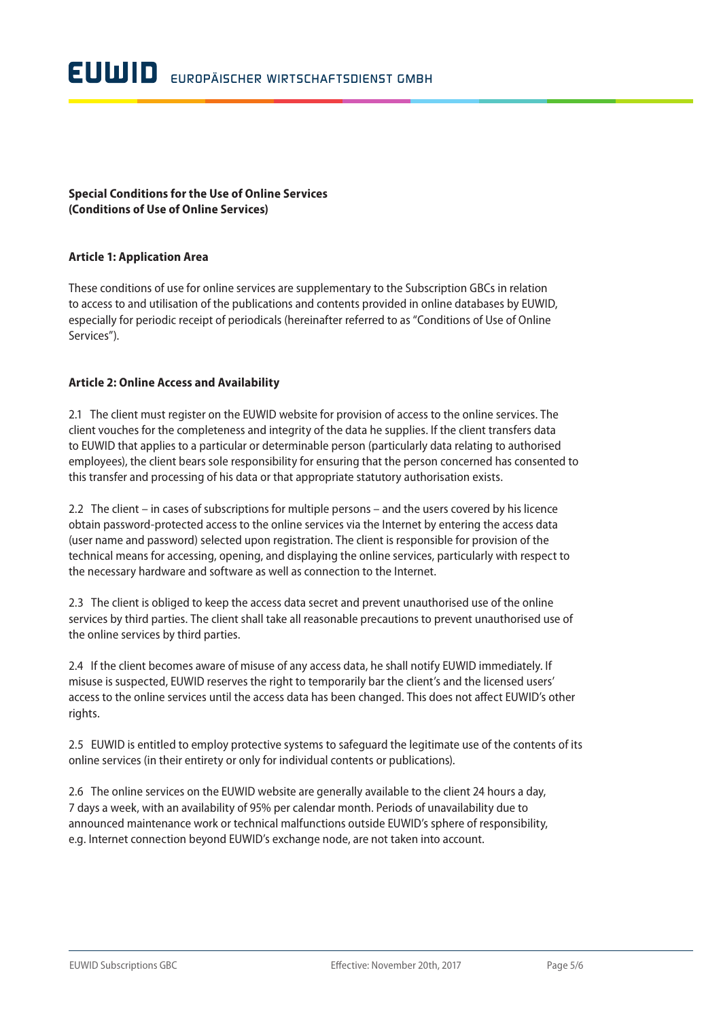## **Special Conditions for the Use of Online Services (Conditions of Use of Online Services)**

#### **Article 1: Application Area**

These conditions of use for online services are supplementary to the Subscription GBCs in relation to access to and utilisation of the publications and contents provided in online databases by EUWID, especially for periodic receipt of periodicals (hereinafter referred to as "Conditions of Use of Online Services").

#### **Article 2: Online Access and Availability**

2.1 The client must register on the EUWID website for provision of access to the online services. The client vouches for the completeness and integrity of the data he supplies. If the client transfers data to EUWID that applies to a particular or determinable person (particularly data relating to authorised employees), the client bears sole responsibility for ensuring that the person concerned has consented to this transfer and processing of his data or that appropriate statutory authorisation exists.

2.2 The client – in cases of subscriptions for multiple persons – and the users covered by his licence obtain password-protected access to the online services via the Internet by entering the access data (user name and password) selected upon registration. The client is responsible for provision of the technical means for accessing, opening, and displaying the online services, particularly with respect to the necessary hardware and software as well as connection to the Internet.

2.3 The client is obliged to keep the access data secret and prevent unauthorised use of the online services by third parties. The client shall take all reasonable precautions to prevent unauthorised use of the online services by third parties.

2.4 If the client becomes aware of misuse of any access data, he shall notify EUWID immediately. If misuse is suspected, EUWID reserves the right to temporarily bar the client's and the licensed users' access to the online services until the access data has been changed. This does not affect EUWID's other rights.

2.5 EUWID is entitled to employ protective systems to safeguard the legitimate use of the contents of its online services (in their entirety or only for individual contents or publications).

2.6 The online services on the EUWID website are generally available to the client 24 hours a day, 7 days a week, with an availability of 95% per calendar month. Periods of unavailability due to announced maintenance work or technical malfunctions outside EUWID's sphere of responsibility, e.g. Internet connection beyond EUWID's exchange node, are not taken into account.